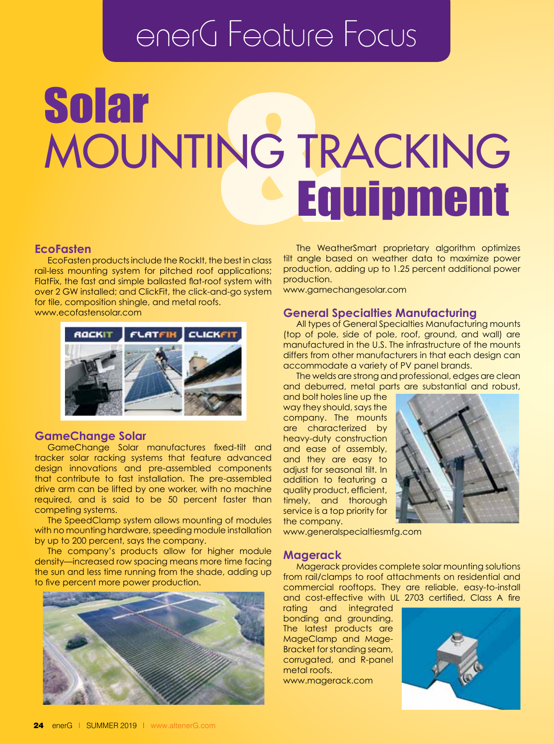## enerG Feature Focus

# Solar Mounting Tracking Equipment

#### **EcoFasten**

EcoFasten products include the RockIt, the best in class rail-less mounting system for pitched roof applications; FlatFix, the fast and simple ballasted flat-roof system with over 2 GW installed; and ClickFit, the click-and-go system for tile, composition shingle, and metal roofs. www.ecofastensolar.com



#### **GameChange Solar**

GameChange Solar manufactures fixed-tilt and tracker solar racking systems that feature advanced design innovations and pre-assembled components that contribute to fast installation. The pre-assembled drive arm can be lifted by one worker, with no machine required, and is said to be 50 percent faster than competing systems.

The SpeedClamp system allows mounting of modules with no mounting hardware, speeding module installation by up to 200 percent, says the company.

The company's products allow for higher module density—increased row spacing means more time facing the sun and less time running from the shade, adding up to five percent more power production.



The WeatherSmart proprietary algorithm optimizes tilt angle based on weather data to maximize power production, adding up to 1.25 percent additional power production.

www.gamechangesolar.com

#### **General Specialties Manufacturing**

All types of General Specialties Manufacturing mounts (top of pole, side of pole, roof, ground, and wall) are manufactured in the U.S. The infrastructure of the mounts differs from other manufacturers in that each design can accommodate a variety of PV panel brands.

The welds are strong and professional, edges are clean and deburred, metal parts are substantial and robust,

and bolt holes line up the way they should, says the company. The mounts are characterized by heavy-duty construction and ease of assembly, and they are easy to adjust for seasonal tilt. In addition to featuring a quality product, efficient, timely, and thorough service is a top priority for the company.



www.generalspecialtiesmfg.com

#### **Magerack**

Magerack provides complete solar mounting solutions from rail/clamps to roof attachments on residential and commercial rooftops. They are reliable, easy-to-install and cost-effective with UL 2703 certified, Class A fire

rating and integrated bonding and grounding. The latest products are MageClamp and Mage-Bracket for standing seam, corrugated, and R-panel metal roofs. www.magerack.com